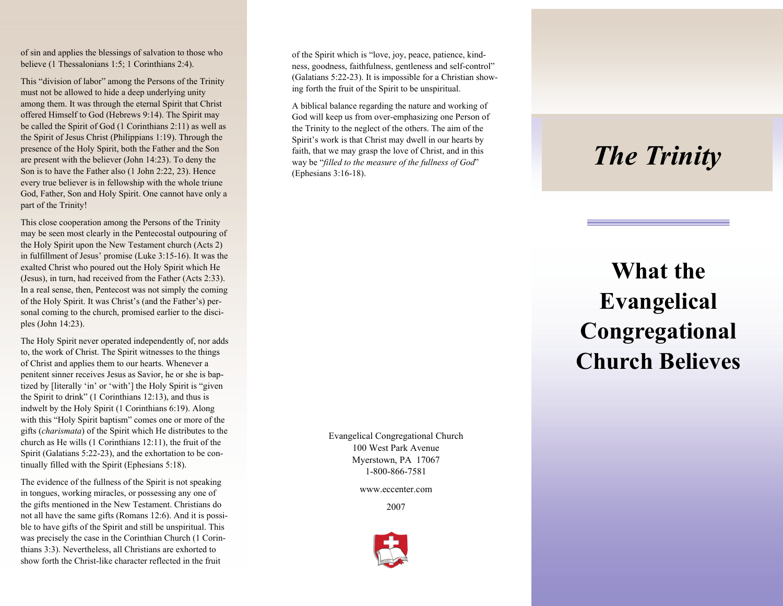of sin and applies the blessings of salvation to those who believe (1 Thessalonians 1:5; 1 Corinthians 2:4).

This "division of labor" among the Persons of the Trinity must not be allowed to hide a deep underlying unity among them. It was through the eternal Spirit that Christ offered Himself to God (Hebrews 9:14). The Spirit may be called the Spirit of God (1 Corinthians 2:11) as well as the Spirit of Jesus Christ (Philippians 1:19). Through the presence of the Holy Spirit, both the Father and the Son are present with the believer (John 14:23). To deny the Son is to have the Father also (1 John 2:22, 23). Hence every true believer is in fellowship with the whole triune God, Father, Son and Holy Spirit. One cannot have only a part of the Trinity!

This close cooperation among the Persons of the Trinity may be seen most clearly in the Pentecostal outpouring of the Holy Spirit upon the New Testament church (Acts 2) in fulfillment of Jesus' promise (Luke 3:15-16). It was the exalted Christ who poured out the Holy Spirit which He (Jesus), in turn, had received from the Father (Acts 2:33). In a real sense, then, Pentecost was not simply the coming of the Holy Spirit. It was Christ's (and the Father's) personal coming to the church, promised earlier to the disciples (John 14:23).

The Holy Spirit never operated independently of, nor adds to, the work of Christ. The Spirit witnesses to the things of Christ and applies them to our hearts. Whenever a penitent sinner receives Jesus as Savior, he or she is baptized by [literally 'in' or 'with'] the Holy Spirit is "given the Spirit to drink" (1 Corinthians 12:13), and thus is indwelt by the Holy Spirit (1 Corinthians 6:19). Along with this "Holy Spirit baptism" comes one or more of the gifts (*charismata*) of the Spirit which He distributes to the church as He wills (1 Corinthians 12:11), the fruit of the Spirit (Galatians 5:22-23), and the exhortation to be continually filled with the Spirit (Ephesians 5:18).

The evidence of the fullness of the Spirit is not speaking in tongues, working miracles, or possessing any one of the gifts mentioned in the New Testament. Christians do not all have the same gifts (Romans 12:6). And it is possible to have gifts of the Spirit and still be unspiritual. This was precisely the case in the Corinthian Church (1 Corinthians 3:3). Nevertheless, all Christians are exhorted to show forth the Christ-like character reflected in the fruit

of the Spirit which is "love, joy, peace, patience, kindness, goodness, faithfulness, gentleness and self-control" (Galatians 5:22-23). It is impossible for a Christian showing forth the fruit of the Spirit to be unspiritual.

A biblical balance regarding the nature and working of God will keep us from over-emphasizing one Person of the Trinity to the neglect of the others. The aim of the Spirit's work is that Christ may dwell in our hearts by faith, that we may grasp the love of Christ, and in this way be "*filled to the measure of the fullness of God*" (Ephesians 3:16-18).

> Evangelical Congregational Church 100 West Park Avenue Myerstown, PA 17067 1-800-866-7581

> > www.eccenter.com

2007



## *The Trinity*

## **What the Evangelical Congregational Church Believes**